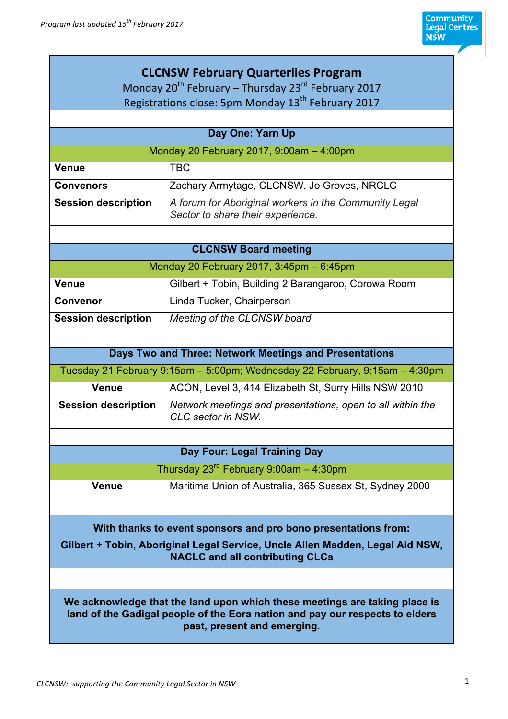| <b>CLCNSW February Quarterlies Program</b><br>Monday 20 <sup>th</sup> February – Thursday 23 <sup>rd</sup> February 2017                                                                  |                                                                                            |  |
|-------------------------------------------------------------------------------------------------------------------------------------------------------------------------------------------|--------------------------------------------------------------------------------------------|--|
| Registrations close: 5pm Monday 13 <sup>th</sup> February 2017                                                                                                                            |                                                                                            |  |
|                                                                                                                                                                                           |                                                                                            |  |
|                                                                                                                                                                                           | Day One: Yarn Up                                                                           |  |
| Monday 20 February 2017, 9:00am - 4:00pm                                                                                                                                                  |                                                                                            |  |
| <b>Venue</b>                                                                                                                                                                              | <b>TBC</b>                                                                                 |  |
| <b>Convenors</b>                                                                                                                                                                          | Zachary Armytage, CLCNSW, Jo Groves, NRCLC                                                 |  |
| <b>Session description</b>                                                                                                                                                                | A forum for Aboriginal workers in the Community Legal<br>Sector to share their experience. |  |
|                                                                                                                                                                                           |                                                                                            |  |
|                                                                                                                                                                                           | <b>CLCNSW Board meeting</b>                                                                |  |
|                                                                                                                                                                                           | Monday 20 February 2017, 3:45pm - 6:45pm                                                   |  |
| <b>Venue</b>                                                                                                                                                                              | Gilbert + Tobin, Building 2 Barangaroo, Corowa Room                                        |  |
| <b>Convenor</b>                                                                                                                                                                           | Linda Tucker, Chairperson                                                                  |  |
| <b>Session description</b>                                                                                                                                                                | Meeting of the CLCNSW board                                                                |  |
|                                                                                                                                                                                           |                                                                                            |  |
|                                                                                                                                                                                           | Days Two and Three: Network Meetings and Presentations                                     |  |
|                                                                                                                                                                                           | Tuesday 21 February 9:15am - 5:00pm; Wednesday 22 February, 9:15am - 4:30pm                |  |
| <b>Venue</b>                                                                                                                                                                              | ACON, Level 3, 414 Elizabeth St, Surry Hills NSW 2010                                      |  |
| <b>Session description</b>                                                                                                                                                                | Network meetings and presentations, open to all within the<br>CLC sector in NSW.           |  |
|                                                                                                                                                                                           |                                                                                            |  |
|                                                                                                                                                                                           | Day Four: Legal Training Day                                                               |  |
|                                                                                                                                                                                           | Thursday $23^{rd}$ February 9:00am $-$ 4:30pm                                              |  |
| <b>Venue</b>                                                                                                                                                                              | Maritime Union of Australia, 365 Sussex St, Sydney 2000                                    |  |
|                                                                                                                                                                                           |                                                                                            |  |
|                                                                                                                                                                                           | With thanks to event sponsors and pro bono presentations from:                             |  |
| Gilbert + Tobin, Aboriginal Legal Service, Uncle Allen Madden, Legal Aid NSW,<br><b>NACLC and all contributing CLCs</b>                                                                   |                                                                                            |  |
|                                                                                                                                                                                           |                                                                                            |  |
| We acknowledge that the land upon which these meetings are taking place is<br>land of the Gadigal people of the Eora nation and pay our respects to elders<br>past, present and emerging. |                                                                                            |  |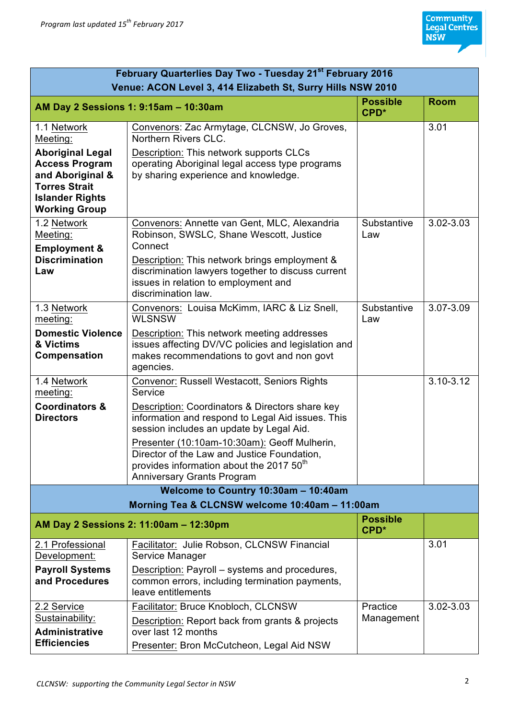| February Quarterlies Day Two - Tuesday 21 <sup>st</sup> February 2016                                                                          |                                                                                                                                                                                                                                                                                                                                              |                         |               |
|------------------------------------------------------------------------------------------------------------------------------------------------|----------------------------------------------------------------------------------------------------------------------------------------------------------------------------------------------------------------------------------------------------------------------------------------------------------------------------------------------|-------------------------|---------------|
| Venue: ACON Level 3, 414 Elizabeth St, Surry Hills NSW 2010                                                                                    |                                                                                                                                                                                                                                                                                                                                              |                         |               |
|                                                                                                                                                | AM Day 2 Sessions 1: 9:15am - 10:30am                                                                                                                                                                                                                                                                                                        | <b>Possible</b><br>CPD* | <b>Room</b>   |
| 1.1 Network<br>Meeting:                                                                                                                        | Convenors: Zac Armytage, CLCNSW, Jo Groves,<br>Northern Rivers CLC.                                                                                                                                                                                                                                                                          |                         | 3.01          |
| <b>Aboriginal Legal</b><br><b>Access Program</b><br>and Aboriginal &<br><b>Torres Strait</b><br><b>Islander Rights</b><br><b>Working Group</b> | Description: This network supports CLCs<br>operating Aboriginal legal access type programs<br>by sharing experience and knowledge.                                                                                                                                                                                                           |                         |               |
| 1.2 Network<br>Meeting:<br><b>Employment &amp;</b><br><b>Discrimination</b><br>Law                                                             | Convenors: Annette van Gent, MLC, Alexandria<br>Robinson, SWSLC, Shane Wescott, Justice<br>Connect<br>Description: This network brings employment &<br>discrimination lawyers together to discuss current<br>issues in relation to employment and<br>discrimination law.                                                                     | Substantive<br>Law      | 3.02-3.03     |
| 1.3 Network<br>meeting:                                                                                                                        | Convenors: Louisa McKimm, IARC & Liz Snell,<br><b>WLSNSW</b>                                                                                                                                                                                                                                                                                 | Substantive<br>Law      | 3.07-3.09     |
| <b>Domestic Violence</b><br>& Victims<br>Compensation                                                                                          | Description: This network meeting addresses<br>issues affecting DV/VC policies and legislation and<br>makes recommendations to govt and non govt<br>agencies.                                                                                                                                                                                |                         |               |
| 1.4 Network<br>meeting:                                                                                                                        | Convenor: Russell Westacott, Seniors Rights<br>Service                                                                                                                                                                                                                                                                                       |                         | $3.10 - 3.12$ |
| <b>Coordinators &amp;</b><br><b>Directors</b>                                                                                                  | Description: Coordinators & Directors share key<br>information and respond to Legal Aid issues. This<br>session includes an update by Legal Aid.<br>Presenter (10:10am-10:30am): Geoff Mulherin,<br>Director of the Law and Justice Foundation,<br>provides information about the 2017 50 <sup>th</sup><br><b>Anniversary Grants Program</b> |                         |               |
| Welcome to Country 10:30am - 10:40am<br>Morning Tea & CLCNSW welcome 10:40am - 11:00am                                                         |                                                                                                                                                                                                                                                                                                                                              |                         |               |
|                                                                                                                                                | AM Day 2 Sessions 2: 11:00am - 12:30pm                                                                                                                                                                                                                                                                                                       | <b>Possible</b><br>CPD* |               |
| 2.1 Professional<br>Development:                                                                                                               | Facilitator: Julie Robson, CLCNSW Financial<br>Service Manager                                                                                                                                                                                                                                                                               |                         | 3.01          |
| <b>Payroll Systems</b><br>and Procedures                                                                                                       | Description: Payroll – systems and procedures,<br>common errors, including termination payments,<br>leave entitlements                                                                                                                                                                                                                       |                         |               |
| 2.2 Service<br>Sustainability:<br><b>Administrative</b><br><b>Efficiencies</b>                                                                 | Facilitator: Bruce Knobloch, CLCNSW<br>Description: Report back from grants & projects<br>over last 12 months<br>Presenter: Bron McCutcheon, Legal Aid NSW                                                                                                                                                                                   | Practice<br>Management  | $3.02 - 3.03$ |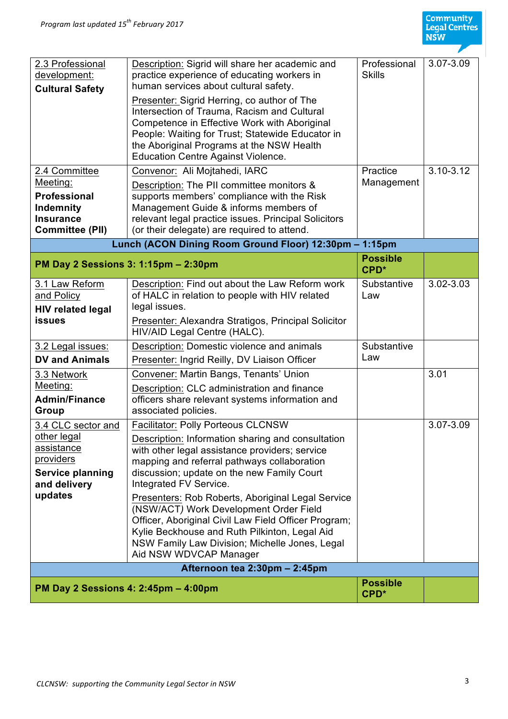

| 2.3 Professional<br>development:<br><b>Cultural Safety</b>                                                         | Description: Sigrid will share her academic and<br>practice experience of educating workers in<br>human services about cultural safety.<br>Presenter: Sigrid Herring, co author of The<br>Intersection of Trauma, Racism and Cultural<br>Competence in Effective Work with Aboriginal<br>People: Waiting for Trust; Statewide Educator in<br>the Aboriginal Programs at the NSW Health<br><b>Education Centre Against Violence.</b>                                                                                                                                                          | Professional<br><b>Skills</b>       | 3.07-3.09     |
|--------------------------------------------------------------------------------------------------------------------|----------------------------------------------------------------------------------------------------------------------------------------------------------------------------------------------------------------------------------------------------------------------------------------------------------------------------------------------------------------------------------------------------------------------------------------------------------------------------------------------------------------------------------------------------------------------------------------------|-------------------------------------|---------------|
| 2.4 Committee<br>Meeting:<br><b>Professional</b><br>Indemnity<br><b>Insurance</b><br><b>Committee (PII)</b>        | Convenor: Ali Mojtahedi, IARC<br>Description: The PII committee monitors &<br>supports members' compliance with the Risk<br>Management Guide & informs members of<br>relevant legal practice issues. Principal Solicitors<br>(or their delegate) are required to attend.                                                                                                                                                                                                                                                                                                                     | Practice<br>Management              | $3.10 - 3.12$ |
| Lunch (ACON Dining Room Ground Floor) 12:30pm - 1:15pm                                                             |                                                                                                                                                                                                                                                                                                                                                                                                                                                                                                                                                                                              |                                     |               |
| PM Day 2 Sessions 3: 1:15pm - 2:30pm                                                                               |                                                                                                                                                                                                                                                                                                                                                                                                                                                                                                                                                                                              | <b>Possible</b><br>CPD <sup>*</sup> |               |
| 3.1 Law Reform<br>and Policy<br><b>HIV related legal</b><br><b>issues</b>                                          | Description: Find out about the Law Reform work<br>of HALC in relation to people with HIV related<br>legal issues.<br>Presenter: Alexandra Stratigos, Principal Solicitor<br>HIV/AID Legal Centre (HALC).                                                                                                                                                                                                                                                                                                                                                                                    | Substantive<br>Law                  | 3.02-3.03     |
| 3.2 Legal issues:                                                                                                  | Description: Domestic violence and animals                                                                                                                                                                                                                                                                                                                                                                                                                                                                                                                                                   | Substantive                         |               |
| <b>DV and Animals</b>                                                                                              | Presenter: Ingrid Reilly, DV Liaison Officer                                                                                                                                                                                                                                                                                                                                                                                                                                                                                                                                                 | Law                                 |               |
| 3.3 Network<br>Meeting:<br><b>Admin/Finance</b><br><b>Group</b>                                                    | Convener: Martin Bangs, Tenants' Union<br>Description: CLC administration and finance<br>officers share relevant systems information and<br>associated policies.                                                                                                                                                                                                                                                                                                                                                                                                                             |                                     | 3.01          |
| 3.4 CLC sector and<br>other legal<br>assistance<br>providers<br><b>Service planning</b><br>and delivery<br>updates | <b>Facilitator: Polly Porteous CLCNSW</b><br>Description: Information sharing and consultation<br>with other legal assistance providers; service<br>mapping and referral pathways collaboration<br>discussion; update on the new Family Court<br>Integrated FV Service.<br>Presenters: Rob Roberts, Aboriginal Legal Service<br>(NSW/ACT) Work Development Order Field<br>Officer, Aboriginal Civil Law Field Officer Program;<br>Kylie Beckhouse and Ruth Pilkinton, Legal Aid<br>NSW Family Law Division; Michelle Jones, Legal<br>Aid NSW WDVCAP Manager<br>Afternoon tea 2:30pm - 2:45pm |                                     | 3.07-3.09     |
| <b>Possible</b>                                                                                                    |                                                                                                                                                                                                                                                                                                                                                                                                                                                                                                                                                                                              |                                     |               |
| PM Day 2 Sessions 4: 2:45pm - 4:00pm                                                                               |                                                                                                                                                                                                                                                                                                                                                                                                                                                                                                                                                                                              | CPD <sup>*</sup>                    |               |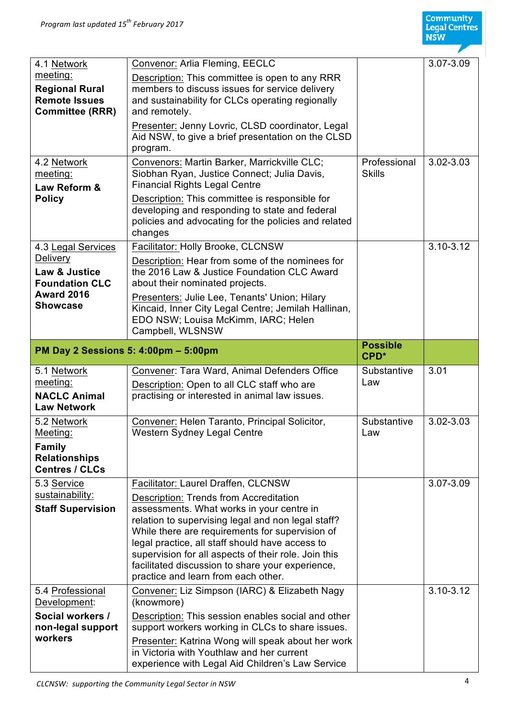

| 4.1 Network                  | Convenor: Arlia Fleming, EECLC                                                                        |                                     | 3.07-3.09     |
|------------------------------|-------------------------------------------------------------------------------------------------------|-------------------------------------|---------------|
| meeting:                     | Description: This committee is open to any RRR                                                        |                                     |               |
| <b>Regional Rural</b>        | members to discuss issues for service delivery                                                        |                                     |               |
| <b>Remote Issues</b>         | and sustainability for CLCs operating regionally                                                      |                                     |               |
| <b>Committee (RRR)</b>       | and remotely.                                                                                         |                                     |               |
|                              | Presenter: Jenny Lovric, CLSD coordinator, Legal                                                      |                                     |               |
|                              | Aid NSW, to give a brief presentation on the CLSD                                                     |                                     |               |
|                              | program.                                                                                              |                                     |               |
| 4.2 Network<br>meeting:      | Convenors: Martin Barker, Marrickville CLC;<br>Siobhan Ryan, Justice Connect; Julia Davis,            | Professional<br><b>Skills</b>       | 3.02-3.03     |
| Law Reform &                 | <b>Financial Rights Legal Centre</b>                                                                  |                                     |               |
| <b>Policy</b>                | Description: This committee is responsible for                                                        |                                     |               |
|                              | developing and responding to state and federal                                                        |                                     |               |
|                              | policies and advocating for the policies and related                                                  |                                     |               |
|                              | changes                                                                                               |                                     |               |
| 4.3 Legal Services           | Facilitator: Holly Brooke, CLCNSW                                                                     |                                     | $3.10 - 3.12$ |
| <b>Delivery</b>              | Description: Hear from some of the nominees for                                                       |                                     |               |
| Law & Justice                | the 2016 Law & Justice Foundation CLC Award                                                           |                                     |               |
| <b>Foundation CLC</b>        | about their nominated projects.                                                                       |                                     |               |
| <b>Award 2016</b>            | Presenters: Julie Lee, Tenants' Union; Hilary                                                         |                                     |               |
| <b>Showcase</b>              | Kincaid, Inner City Legal Centre; Jemilah Hallinan,                                                   |                                     |               |
|                              | EDO NSW; Louisa McKimm, IARC; Helen                                                                   |                                     |               |
|                              | Campbell, WLSNSW                                                                                      |                                     |               |
|                              | PM Day 2 Sessions 5: 4:00pm - 5:00pm                                                                  | <b>Possible</b><br>CPD <sup>*</sup> |               |
|                              |                                                                                                       |                                     |               |
| 5.1 Network                  | Convener: Tara Ward, Animal Defenders Office                                                          | Substantive                         | 3.01          |
| meeting:                     | Description: Open to all CLC staff who are                                                            | Law                                 |               |
| <b>NACLC Animal</b>          | practising or interested in animal law issues.                                                        |                                     |               |
| <b>Law Network</b>           |                                                                                                       |                                     |               |
| 5.2 Network                  | Convener: Helen Taranto, Principal Solicitor,                                                         | Substantive                         | $3.02 - 3.03$ |
| Meeting:                     | Western Sydney Legal Centre                                                                           | Law                                 |               |
| <b>Family</b>                |                                                                                                       |                                     |               |
| <b>Relationships</b>         |                                                                                                       |                                     |               |
| <b>Centres / CLCs</b>        |                                                                                                       |                                     |               |
| 5.3 Service                  | Facilitator: Laurel Draffen, CLCNSW                                                                   |                                     | 3.07-3.09     |
| sustainability:              | Description: Trends from Accreditation                                                                |                                     |               |
| <b>Staff Supervision</b>     | assessments. What works in your centre in                                                             |                                     |               |
|                              | relation to supervising legal and non legal staff?<br>While there are requirements for supervision of |                                     |               |
|                              | legal practice, all staff should have access to                                                       |                                     |               |
|                              | supervision for all aspects of their role. Join this                                                  |                                     |               |
|                              | facilitated discussion to share your experience,                                                      |                                     |               |
|                              | practice and learn from each other.                                                                   |                                     |               |
| 5.4 Professional             | Convener: Liz Simpson (IARC) & Elizabeth Nagy                                                         |                                     | $3.10 - 3.12$ |
| Development:                 | (knowmore)                                                                                            |                                     |               |
| Social workers /             | Description: This session enables social and other                                                    |                                     |               |
| non-legal support<br>workers | support workers working in CLCs to share issues.                                                      |                                     |               |
|                              | Presenter: Katrina Wong will speak about her work<br>in Victoria with Youthlaw and her current        |                                     |               |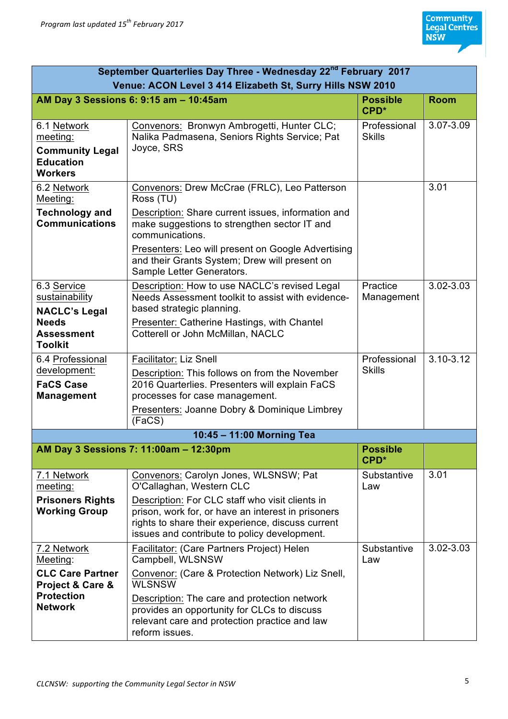| September Quarterlies Day Three - Wednesday 22 <sup>nd</sup> February 2017                                    |                                                                                                                                                                                                                                                                                                       |                                     |               |
|---------------------------------------------------------------------------------------------------------------|-------------------------------------------------------------------------------------------------------------------------------------------------------------------------------------------------------------------------------------------------------------------------------------------------------|-------------------------------------|---------------|
| Venue: ACON Level 3 414 Elizabeth St, Surry Hills NSW 2010                                                    |                                                                                                                                                                                                                                                                                                       |                                     |               |
|                                                                                                               | AM Day 3 Sessions 6: 9:15 am - 10:45am                                                                                                                                                                                                                                                                | <b>Possible</b><br>CPD <sup>*</sup> | <b>Room</b>   |
| 6.1 Network<br>meeting:<br><b>Community Legal</b><br><b>Education</b><br><b>Workers</b>                       | Convenors: Bronwyn Ambrogetti, Hunter CLC;<br>Nalika Padmasena, Seniors Rights Service; Pat<br>Joyce, SRS                                                                                                                                                                                             | Professional<br><b>Skills</b>       | 3.07-3.09     |
| 6.2 Network<br>Meeting:<br><b>Technology and</b><br><b>Communications</b>                                     | Convenors: Drew McCrae (FRLC), Leo Patterson<br>Ross (TU)<br>Description: Share current issues, information and<br>make suggestions to strengthen sector IT and<br>communications.<br>Presenters: Leo will present on Google Advertising                                                              |                                     | 3.01          |
| 6.3 Service<br>sustainability<br><b>NACLC's Legal</b><br><b>Needs</b><br><b>Assessment</b>                    | and their Grants System; Drew will present on<br>Sample Letter Generators.<br>Description: How to use NACLC's revised Legal<br>Needs Assessment toolkit to assist with evidence-<br>based strategic planning.<br>Presenter: Catherine Hastings, with Chantel<br>Cotterell or John McMillan, NACLC     | Practice<br>Management              | 3.02-3.03     |
| <b>Toolkit</b><br>6.4 Professional<br>development:<br><b>FaCS Case</b><br><b>Management</b>                   | <b>Facilitator: Liz Snell</b><br>Description: This follows on from the November<br>2016 Quarterlies. Presenters will explain FaCS<br>processes for case management.<br>Presenters: Joanne Dobry & Dominique Limbrey<br>(FaCS)                                                                         | Professional<br><b>Skills</b>       | $3.10 - 3.12$ |
| 10:45 - 11:00 Morning Tea                                                                                     |                                                                                                                                                                                                                                                                                                       |                                     |               |
|                                                                                                               | AM Day 3 Sessions 7: 11:00am - 12:30pm                                                                                                                                                                                                                                                                | <b>Possible</b><br>CPD <sup>*</sup> |               |
| 7.1 Network<br>meeting:<br><b>Prisoners Rights</b><br><b>Working Group</b>                                    | Convenors: Carolyn Jones, WLSNSW; Pat<br>O'Callaghan, Western CLC<br>Description: For CLC staff who visit clients in<br>prison, work for, or have an interest in prisoners<br>rights to share their experience, discuss current<br>issues and contribute to policy development.                       | Substantive<br>Law                  | 3.01          |
| 7.2 Network<br>Meeting:<br><b>CLC Care Partner</b><br>Project & Care &<br><b>Protection</b><br><b>Network</b> | Facilitator: (Care Partners Project) Helen<br>Campbell, WLSNSW<br>Convenor: (Care & Protection Network) Liz Snell,<br><b>WLSNSW</b><br>Description: The care and protection network<br>provides an opportunity for CLCs to discuss<br>relevant care and protection practice and law<br>reform issues. | Substantive<br>Law                  | 3.02-3.03     |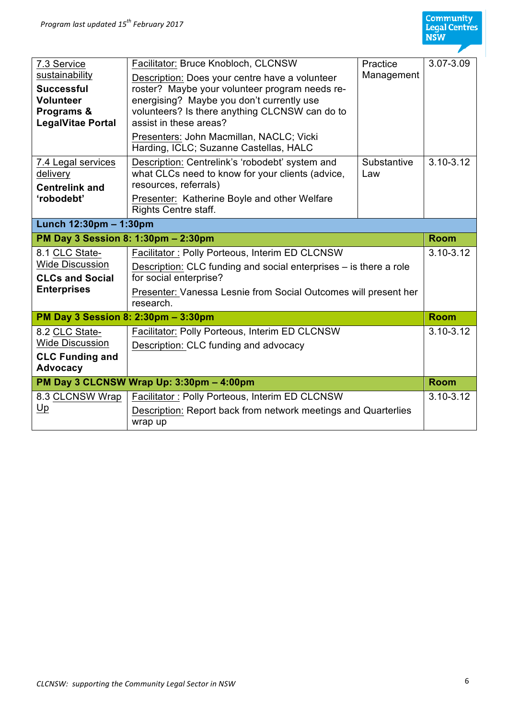| 7.3 Service<br>sustainability<br><b>Successful</b><br><b>Volunteer</b><br>Programs &<br><b>LegalVitae Portal</b> | Facilitator: Bruce Knobloch, CLCNSW<br>Description: Does your centre have a volunteer<br>roster? Maybe your volunteer program needs re-<br>energising? Maybe you don't currently use<br>volunteers? Is there anything CLCNSW can do to<br>assist in these areas?<br>Presenters: John Macmillan, NACLC; Vicki<br>Harding, ICLC; Suzanne Castellas, HALC | Practice<br>Management | 3.07-3.09     |
|------------------------------------------------------------------------------------------------------------------|--------------------------------------------------------------------------------------------------------------------------------------------------------------------------------------------------------------------------------------------------------------------------------------------------------------------------------------------------------|------------------------|---------------|
| 7.4 Legal services<br>delivery<br><b>Centrelink and</b><br>'robodebt'                                            | Description: Centrelink's 'robodebt' system and<br>what CLCs need to know for your clients (advice,<br>resources, referrals)<br>Presenter: Katherine Boyle and other Welfare<br>Rights Centre staff.                                                                                                                                                   | Substantive<br>Law     | $3.10 - 3.12$ |
| Lunch 12:30pm - 1:30pm                                                                                           |                                                                                                                                                                                                                                                                                                                                                        |                        |               |
| PM Day 3 Session 8: 1:30pm - 2:30pm                                                                              |                                                                                                                                                                                                                                                                                                                                                        |                        | <b>Room</b>   |
| 8.1 CLC State-<br><b>Wide Discussion</b><br><b>CLCs and Social</b>                                               | Facilitator: Polly Porteous, Interim ED CLCNSW<br>Description: CLC funding and social enterprises – is there a role<br>for social enterprise?                                                                                                                                                                                                          |                        | $3.10 - 3.12$ |
| <b>Enterprises</b>                                                                                               | Presenter: Vanessa Lesnie from Social Outcomes will present her<br>research.                                                                                                                                                                                                                                                                           |                        |               |
| PM Day 3 Session 8: 2:30pm - 3:30pm                                                                              |                                                                                                                                                                                                                                                                                                                                                        |                        | <b>Room</b>   |
| 8.2 CLC State-<br><b>Wide Discussion</b><br><b>CLC Funding and</b><br><b>Advocacy</b>                            | Facilitator: Polly Porteous, Interim ED CLCNSW<br>Description: CLC funding and advocacy                                                                                                                                                                                                                                                                |                        | $3.10 - 3.12$ |
|                                                                                                                  | PM Day 3 CLCNSW Wrap Up: 3:30pm - 4:00pm                                                                                                                                                                                                                                                                                                               |                        | <b>Room</b>   |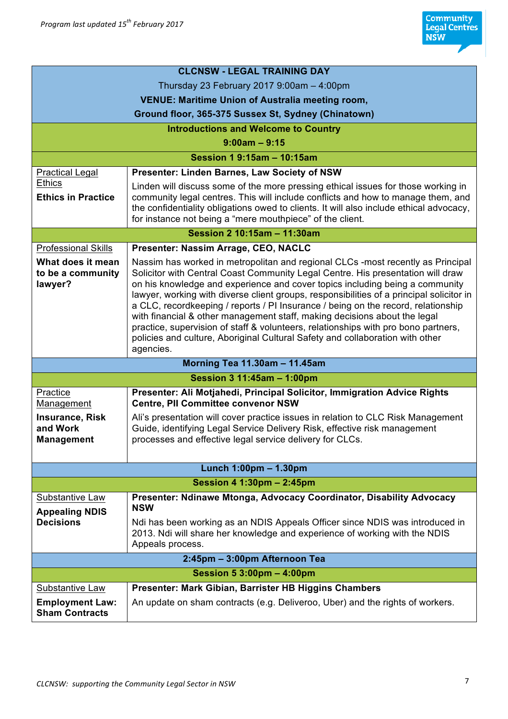|                                                         | <b>CLCNSW - LEGAL TRAINING DAY</b>                                                                                                                                                                                                                                                                                                                                                                                                                                                                                                                                                                                                                                                                   |  |
|---------------------------------------------------------|------------------------------------------------------------------------------------------------------------------------------------------------------------------------------------------------------------------------------------------------------------------------------------------------------------------------------------------------------------------------------------------------------------------------------------------------------------------------------------------------------------------------------------------------------------------------------------------------------------------------------------------------------------------------------------------------------|--|
| Thursday 23 February 2017 $9:00$ am $-4:00$ pm          |                                                                                                                                                                                                                                                                                                                                                                                                                                                                                                                                                                                                                                                                                                      |  |
| <b>VENUE: Maritime Union of Australia meeting room,</b> |                                                                                                                                                                                                                                                                                                                                                                                                                                                                                                                                                                                                                                                                                                      |  |
| Ground floor, 365-375 Sussex St, Sydney (Chinatown)     |                                                                                                                                                                                                                                                                                                                                                                                                                                                                                                                                                                                                                                                                                                      |  |
| <b>Introductions and Welcome to Country</b>             |                                                                                                                                                                                                                                                                                                                                                                                                                                                                                                                                                                                                                                                                                                      |  |
| $9:00am - 9:15$                                         |                                                                                                                                                                                                                                                                                                                                                                                                                                                                                                                                                                                                                                                                                                      |  |
|                                                         | Session 1 9:15am - 10:15am                                                                                                                                                                                                                                                                                                                                                                                                                                                                                                                                                                                                                                                                           |  |
| <b>Practical Legal</b>                                  | Presenter: Linden Barnes, Law Society of NSW                                                                                                                                                                                                                                                                                                                                                                                                                                                                                                                                                                                                                                                         |  |
| <b>Ethics</b><br><b>Ethics in Practice</b>              | Linden will discuss some of the more pressing ethical issues for those working in<br>community legal centres. This will include conflicts and how to manage them, and<br>the confidentiality obligations owed to clients. It will also include ethical advocacy,<br>for instance not being a "mere mouthpiece" of the client.                                                                                                                                                                                                                                                                                                                                                                        |  |
| Session 2 10:15am - 11:30am                             |                                                                                                                                                                                                                                                                                                                                                                                                                                                                                                                                                                                                                                                                                                      |  |
| <b>Professional Skills</b>                              | Presenter: Nassim Arrage, CEO, NACLC                                                                                                                                                                                                                                                                                                                                                                                                                                                                                                                                                                                                                                                                 |  |
| What does it mean<br>to be a community<br>lawyer?       | Nassim has worked in metropolitan and regional CLCs -most recently as Principal<br>Solicitor with Central Coast Community Legal Centre. His presentation will draw<br>on his knowledge and experience and cover topics including being a community<br>lawyer, working with diverse client groups, responsibilities of a principal solicitor in<br>a CLC, recordkeeping / reports / PI Insurance / being on the record, relationship<br>with financial & other management staff, making decisions about the legal<br>practice, supervision of staff & volunteers, relationships with pro bono partners,<br>policies and culture, Aboriginal Cultural Safety and collaboration with other<br>agencies. |  |
|                                                         | Morning Tea 11.30am - 11.45am                                                                                                                                                                                                                                                                                                                                                                                                                                                                                                                                                                                                                                                                        |  |
|                                                         | Session 3 11:45am - 1:00pm                                                                                                                                                                                                                                                                                                                                                                                                                                                                                                                                                                                                                                                                           |  |
| Practice<br>Management                                  | Presenter: Ali Motjahedi, Principal Solicitor, Immigration Advice Rights<br><b>Centre, PII Committee convenor NSW</b>                                                                                                                                                                                                                                                                                                                                                                                                                                                                                                                                                                                |  |
| <b>Insurance, Risk</b><br>and Work<br><b>Management</b> | Ali's presentation will cover practice issues in relation to CLC Risk Management<br>Guide, identifying Legal Service Delivery Risk, effective risk management<br>processes and effective legal service delivery for CLCs.                                                                                                                                                                                                                                                                                                                                                                                                                                                                            |  |
| Lunch 1:00pm - 1.30pm                                   |                                                                                                                                                                                                                                                                                                                                                                                                                                                                                                                                                                                                                                                                                                      |  |
| Session 4 1:30pm - 2:45pm                               |                                                                                                                                                                                                                                                                                                                                                                                                                                                                                                                                                                                                                                                                                                      |  |
| Substantive Law<br><b>Appealing NDIS</b>                | Presenter: Ndinawe Mtonga, Advocacy Coordinator, Disability Advocacy<br><b>NSW</b>                                                                                                                                                                                                                                                                                                                                                                                                                                                                                                                                                                                                                   |  |
| <b>Decisions</b>                                        | Ndi has been working as an NDIS Appeals Officer since NDIS was introduced in<br>2013. Ndi will share her knowledge and experience of working with the NDIS<br>Appeals process.                                                                                                                                                                                                                                                                                                                                                                                                                                                                                                                       |  |
|                                                         | 2:45pm - 3:00pm Afternoon Tea                                                                                                                                                                                                                                                                                                                                                                                                                                                                                                                                                                                                                                                                        |  |
|                                                         | Session 5 3:00pm - 4:00pm                                                                                                                                                                                                                                                                                                                                                                                                                                                                                                                                                                                                                                                                            |  |
| Substantive Law                                         | Presenter: Mark Gibian, Barrister HB Higgins Chambers                                                                                                                                                                                                                                                                                                                                                                                                                                                                                                                                                                                                                                                |  |
| <b>Employment Law:</b><br><b>Sham Contracts</b>         | An update on sham contracts (e.g. Deliveroo, Uber) and the rights of workers.                                                                                                                                                                                                                                                                                                                                                                                                                                                                                                                                                                                                                        |  |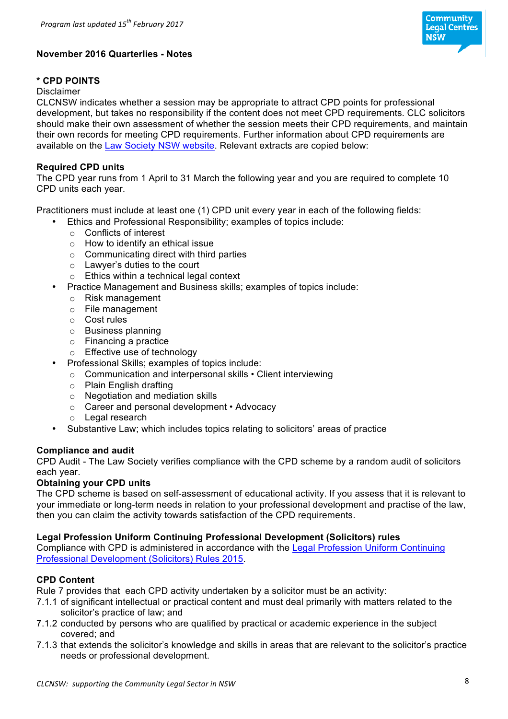

# **November 2016 Quarterlies - Notes**

## **\* CPD POINTS**

#### Disclaimer

CLCNSW indicates whether a session may be appropriate to attract CPD points for professional development, but takes no responsibility if the content does not meet CPD requirements. CLC solicitors should make their own assessment of whether the session meets their CPD requirements, and maintain their own records for meeting CPD requirements. Further information about CPD requirements are available on the Law Society NSW website. Relevant extracts are copied below:

### **Required CPD units**

The CPD year runs from 1 April to 31 March the following year and you are required to complete 10 CPD units each year.

Practitioners must include at least one (1) CPD unit every year in each of the following fields:

- Ethics and Professional Responsibility; examples of topics include:
- o Conflicts of interest
- o How to identify an ethical issue
- $\circ$  Communicating direct with third parties
- o Lawyer's duties to the court
- o Ethics within a technical legal context
- Practice Management and Business skills; examples of topics include:
	- o Risk management
	- o File management
	- o Cost rules
	- o Business planning
	- o Financing a practice
	- o Effective use of technology
- Professional Skills; examples of topics include:
	- o Communication and interpersonal skills Client interviewing
	- o Plain English drafting
	- o Negotiation and mediation skills
	- o Career and personal development Advocacy
	- o Legal research
- Substantive Law; which includes topics relating to solicitors' areas of practice

### **Compliance and audit**

CPD Audit - The Law Society verifies compliance with the CPD scheme by a random audit of solicitors each year.

### **Obtaining your CPD units**

The CPD scheme is based on self-assessment of educational activity. If you assess that it is relevant to your immediate or long-term needs in relation to your professional development and practise of the law, then you can claim the activity towards satisfaction of the CPD requirements.

### **Legal Profession Uniform Continuing Professional Development (Solicitors) rules**

Compliance with CPD is administered in accordance with the Legal Profession Uniform Continuing Professional Development (Solicitors) Rules 2015.

### **CPD Content**

Rule 7 provides that each CPD activity undertaken by a solicitor must be an activity:

- 7.1.1 of significant intellectual or practical content and must deal primarily with matters related to the solicitor's practice of law; and
- 7.1.2 conducted by persons who are qualified by practical or academic experience in the subject covered; and
- 7.1.3 that extends the solicitor's knowledge and skills in areas that are relevant to the solicitor's practice needs or professional development.